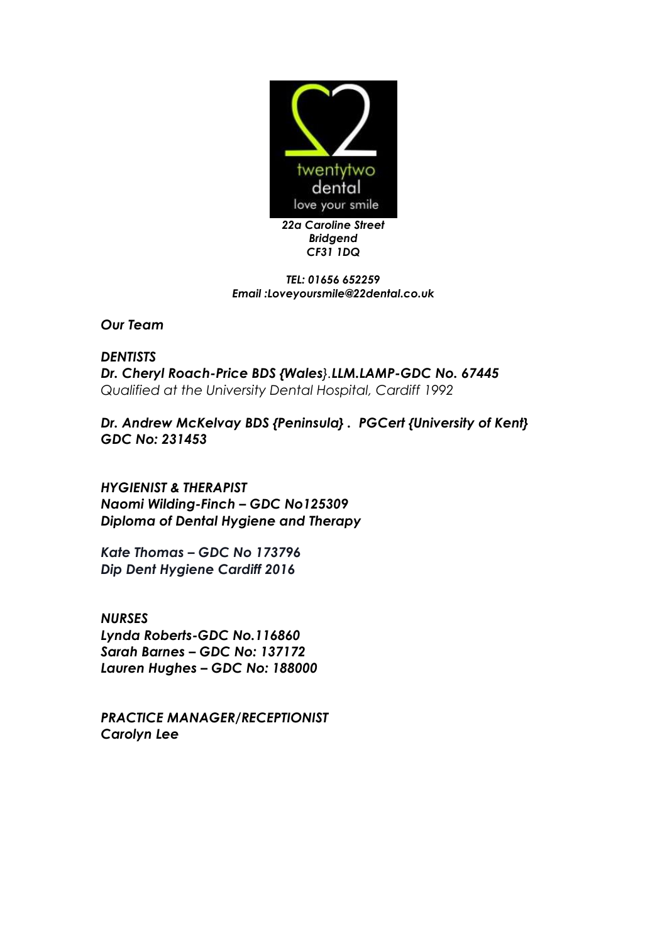

*TEL: 01656 652259 Email :Loveyoursmile@22dental.co.uk*

*Our Team*

*DENTISTS Dr. Cheryl Roach-Price BDS {Wales}.LLM.LAMP-GDC No. 67445 Qualified at the University Dental Hospital, Cardiff 1992*

*Dr. Andrew McKelvay BDS {Peninsula} . PGCert {University of Kent} GDC No: 231453*

*HYGIENIST & THERAPIST Naomi Wilding-Finch – GDC No125309 Diploma of Dental Hygiene and Therapy* 

*Kate Thomas – GDC No 173796 Dip Dent Hygiene Cardiff 2016*

*NURSES Lynda Roberts-GDC No.116860 Sarah Barnes – GDC No: 137172 Lauren Hughes – GDC No: 188000*

*PRACTICE MANAGER/RECEPTIONIST Carolyn Lee*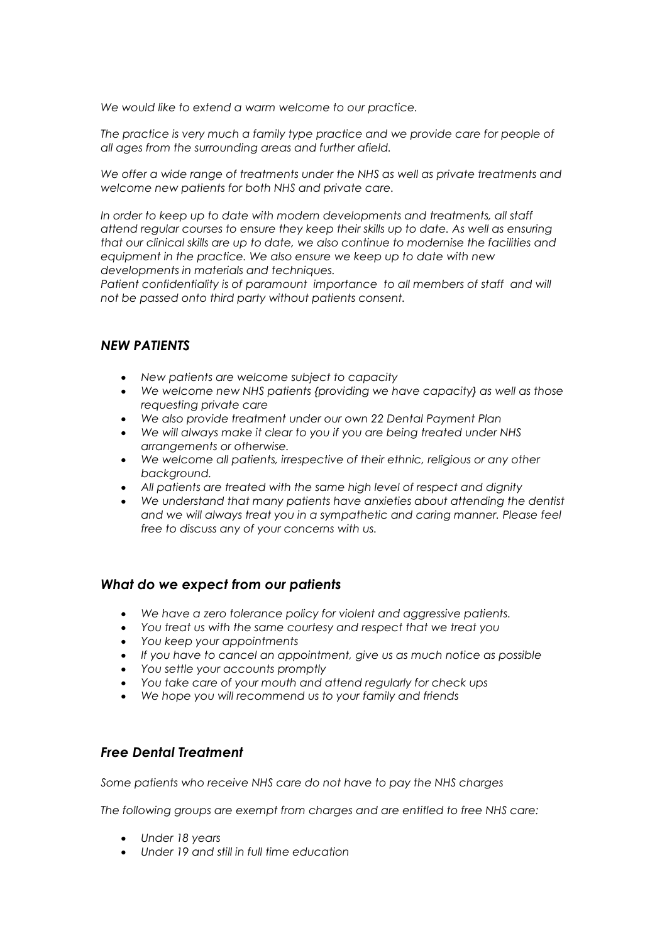*We would like to extend a warm welcome to our practice.*

*The practice is very much a family type practice and we provide care for people of all ages from the surrounding areas and further afield.*

*We offer a wide range of treatments under the NHS as well as private treatments and welcome new patients for both NHS and private care.*

*In order to keep up to date with modern developments and treatments, all staff attend regular courses to ensure they keep their skills up to date. As well as ensuring that our clinical skills are up to date, we also continue to modernise the facilities and equipment in the practice. We also ensure we keep up to date with new developments in materials and techniques.*

Patient confidentiality is of paramount importance to all members of staff and will *not be passed onto third party without patients consent.* 

# *NEW PATIENTS*

- *New patients are welcome subject to capacity*
- *We welcome new NHS patients {providing we have capacity} as well as those requesting private care*
- *We also provide treatment under our own 22 Dental Payment Plan*
- *We will always make it clear to you if you are being treated under NHS arrangements or otherwise.*
- *We welcome all patients, irrespective of their ethnic, religious or any other background.*
- *All patients are treated with the same high level of respect and dignity*
- *We understand that many patients have anxieties about attending the dentist and we will always treat you in a sympathetic and caring manner. Please feel free to discuss any of your concerns with us.*

# *What do we expect from our patients*

- *We have a zero tolerance policy for violent and aggressive patients.*
- *You treat us with the same courtesy and respect that we treat you*
- *You keep your appointments*
- *If you have to cancel an appointment, give us as much notice as possible*
- *You settle your accounts promptly*
- *You take care of your mouth and attend regularly for check ups*
- *We hope you will recommend us to your family and friends*

# *Free Dental Treatment*

*Some patients who receive NHS care do not have to pay the NHS charges*

*The following groups are exempt from charges and are entitled to free NHS care:*

- *Under 18 years*
- *Under 19 and still in full time education*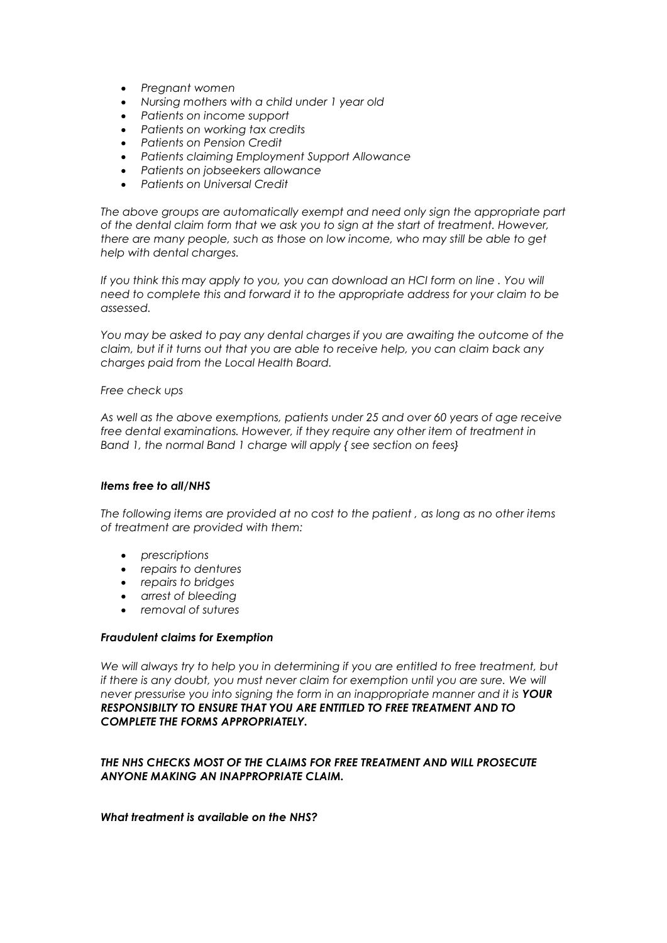- *Pregnant women*
- *Nursing mothers with a child under 1 year old*
- *Patients on income support*
- *Patients on working tax credits*
- *Patients on Pension Credit*
- *Patients claiming Employment Support Allowance*
- *Patients on jobseekers allowance*
- *Patients on Universal Credit*

*The above groups are automatically exempt and need only sign the appropriate part of the dental claim form that we ask you to sign at the start of treatment. However, there are many people, such as those on low income, who may still be able to get help with dental charges.*

If you think this may apply to you, you can download an HCI form on line. You will *need to complete this and forward it to the appropriate address for your claim to be assessed.*

*You may be asked to pay any dental charges if you are awaiting the outcome of the claim, but if it turns out that you are able to receive help, you can claim back any charges paid from the Local Health Board.*

#### *Free check ups*

*As well as the above exemptions, patients under 25 and over 60 years of age receive free dental examinations. However, if they require any other item of treatment in Band 1, the normal Band 1 charge will apply { see section on fees}*

#### *Items free to all/NHS*

*The following items are provided at no cost to the patient , as long as no other items of treatment are provided with them:*

- *prescriptions*
- *repairs to dentures*
- *repairs to bridges*
- *arrest of bleeding*
- *removal of sutures*

#### *Fraudulent claims for Exemption*

*We will always try to help you in determining if you are entitled to free treatment, but if there is any doubt, you must never claim for exemption until you are sure. We will never pressurise you into signing the form in an inappropriate manner and it is YOUR RESPONSIBILTY TO ENSURE THAT YOU ARE ENTITLED TO FREE TREATMENT AND TO COMPLETE THE FORMS APPROPRIATELY.*

#### *THE NHS CHECKS MOST OF THE CLAIMS FOR FREE TREATMENT AND WILL PROSECUTE ANYONE MAKING AN INAPPROPRIATE CLAIM.*

#### *What treatment is available on the NHS?*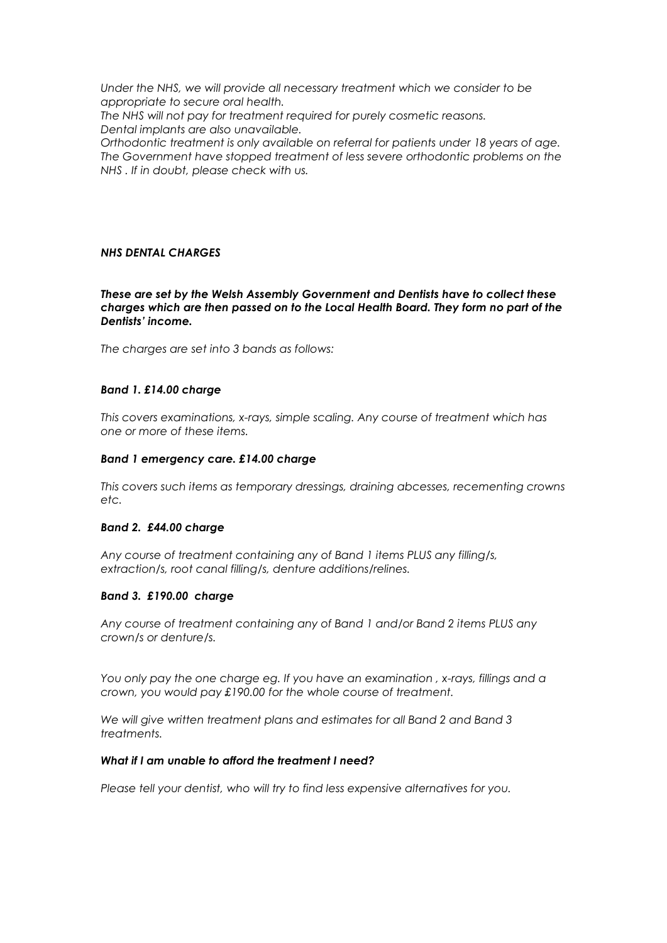*Under the NHS, we will provide all necessary treatment which we consider to be appropriate to secure oral health.*

*The NHS will not pay for treatment required for purely cosmetic reasons. Dental implants are also unavailable.*

*Orthodontic treatment is only available on referral for patients under 18 years of age. The Government have stopped treatment of less severe orthodontic problems on the NHS . If in doubt, please check with us.*

## *NHS DENTAL CHARGES*

#### *These are set by the Welsh Assembly Government and Dentists have to collect these charges which are then passed on to the Local Health Board. They form no part of the Dentists' income.*

*The charges are set into 3 bands as follows:*

## *Band 1. £14.00 charge*

*This covers examinations, x-rays, simple scaling. Any course of treatment which has one or more of these items.*

#### *Band 1 emergency care. £14.00 charge*

*This covers such items as temporary dressings, draining abcesses, recementing crowns etc.*

## *Band 2. £44.00 charge*

*Any course of treatment containing any of Band 1 items PLUS any filling/s, extraction/s, root canal filling/s, denture additions/relines.*

## *Band 3. £190.00 charge*

*Any course of treatment containing any of Band 1 and/or Band 2 items PLUS any crown/s or denture/s.*

*You only pay the one charge eg. If you have an examination , x-rays, fillings and a crown, you would pay £190.00 for the whole course of treatment.*

*We will give written treatment plans and estimates for all Band 2 and Band 3 treatments.*

#### *What if I am unable to afford the treatment I need?*

*Please tell your dentist, who will try to find less expensive alternatives for you.*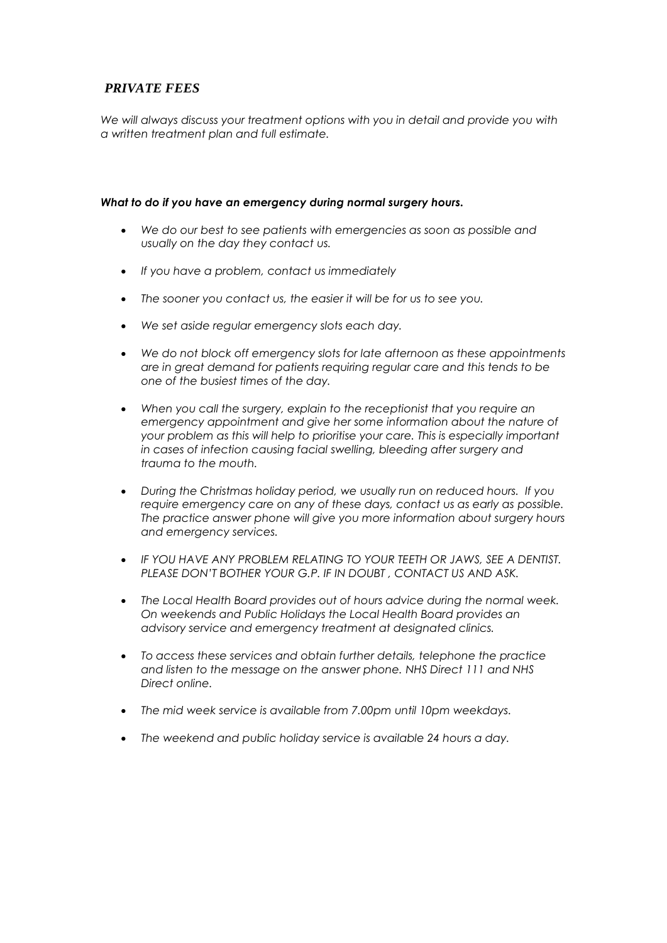# *PRIVATE FEES*

*We will always discuss your treatment options with you in detail and provide you with a written treatment plan and full estimate.*

#### *What to do if you have an emergency during normal surgery hours.*

- *We do our best to see patients with emergencies as soon as possible and usually on the day they contact us.*
- *If you have a problem, contact us immediately*
- *The sooner you contact us, the easier it will be for us to see you.*
- *We set aside regular emergency slots each day.*
- *We do not block off emergency slots for late afternoon as these appointments are in great demand for patients requiring regular care and this tends to be one of the busiest times of the day.*
- *When you call the surgery, explain to the receptionist that you require an emergency appointment and give her some information about the nature of your problem as this will help to prioritise your care. This is especially important in cases of infection causing facial swelling, bleeding after surgery and trauma to the mouth.*
- *During the Christmas holiday period, we usually run on reduced hours. If you require emergency care on any of these days, contact us as early as possible. The practice answer phone will give you more information about surgery hours and emergency services.*
- *IF YOU HAVE ANY PROBLEM RELATING TO YOUR TEETH OR JAWS, SEE A DENTIST. PLEASE DON'T BOTHER YOUR G.P. IF IN DOUBT , CONTACT US AND ASK.*
- *The Local Health Board provides out of hours advice during the normal week. On weekends and Public Holidays the Local Health Board provides an advisory service and emergency treatment at designated clinics.*
- *To access these services and obtain further details, telephone the practice and listen to the message on the answer phone. NHS Direct 111 and NHS Direct online.*
- *The mid week service is available from 7.00pm until 10pm weekdays.*
- *The weekend and public holiday service is available 24 hours a day.*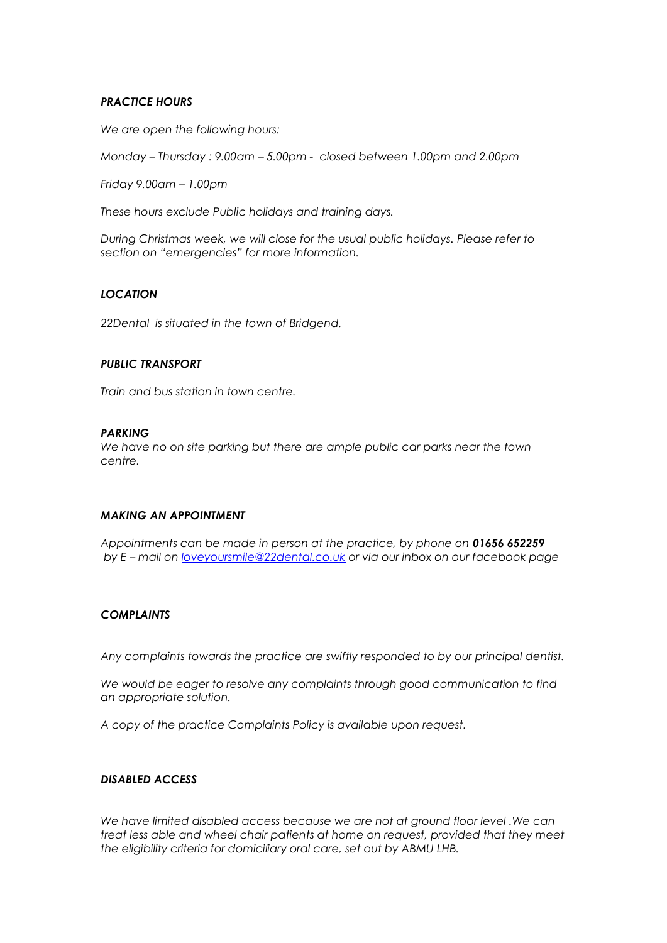## *PRACTICE HOURS*

*We are open the following hours:*

*Monday – Thursday : 9.00am – 5.00pm - closed between 1.00pm and 2.00pm*

*Friday 9.00am – 1.00pm*

*These hours exclude Public holidays and training days.*

*During Christmas week, we will close for the usual public holidays. Please refer to section on "emergencies" for more information.*

## *LOCATION*

*22Dental is situated in the town of Bridgend.* 

#### *PUBLIC TRANSPORT*

*Train and bus station in town centre.*

## *PARKING*

*We have no on site parking but there are ample public car parks near the town centre.*

## *MAKING AN APPOINTMENT*

*Appointments can be made in person at the practice, by phone on 01656 652259 by E – mail on [loveyoursmile@22dental.co.uk](mailto:loveyoursmile@22dental.co.uk) or via our inbox on our facebook page*

## *COMPLAINTS*

*Any complaints towards the practice are swiftly responded to by our principal dentist.*

We would be eager to resolve any complaints through good communication to find *an appropriate solution.*

*A copy of the practice Complaints Policy is available upon request.*

## *DISABLED ACCESS*

*We have limited disabled access because we are not at ground floor level .We can treat less able and wheel chair patients at home on request, provided that they meet the eligibility criteria for domiciliary oral care, set out by ABMU LHB.*